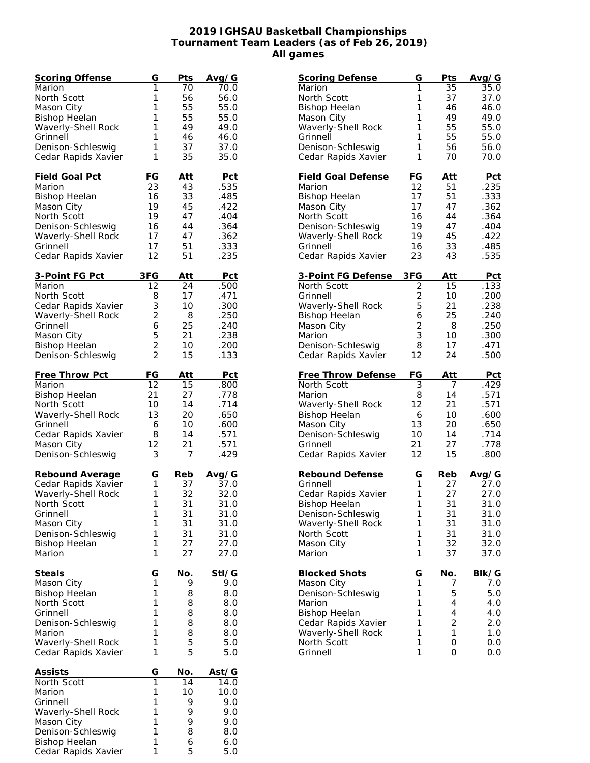## **2019 IGHSAU Basketball Championships Tournament Team Leaders (as of Feb 26, 2019) All games**

| Scoring Offense                     | G                                | Pts        | Avg/G      |
|-------------------------------------|----------------------------------|------------|------------|
| Marion                              | 1                                | 70         | 70.0       |
| North Scott                         | 1                                | 56         | 56.0       |
| Mason City                          | 1                                | 55         | 55.0       |
| <b>Bishop Heelan</b>                | 1                                | 55         | 55.0       |
| Waverly-Shell Rock                  | 1                                | 49         | 49.0       |
| Grinnell                            | 1                                | 46         | 46.0       |
| Denison-Schleswig                   | 1                                | 37         | 37.0       |
| Cedar Rapids Xavier                 | 1                                | 35         | 35.0       |
|                                     |                                  |            |            |
| Field Goal Pct                      | FG                               | Att        | Pct        |
| Marion                              | 23                               | 43         | .535       |
| <b>Bishop Heelan</b>                | 16                               | 33         | .485       |
| Mason City                          | 19                               | 45         | .422       |
| North Scott                         | 19                               | 47         | .404       |
| Denison-Schleswig                   | 16                               | 44         | .364       |
| Waverly-Shell Rock                  | 17                               | 47         | .362       |
| Grinnell                            | 17                               | 51         | .333       |
| Cedar Rapids Xavier                 | 12                               | 51         | .235       |
|                                     |                                  |            |            |
| 3-Point FG Pct                      | 3FG                              | Att        | <u>Pct</u> |
| Marion                              | 12                               | 24         | .500       |
| North Scott                         | 8                                | 17         | .471       |
| Cedar Rapids Xavier                 | 3                                | 10         | .300       |
| Waverly-Shell Rock                  | $\overline{2}$                   | 8          | .250       |
| Grinnell                            | 6                                | 25         | .240       |
| Mason City                          | 5                                |            | .238       |
|                                     |                                  | 21<br>10   |            |
| <b>Bishop Heelan</b>                | $\overline{c}$<br>$\overline{2}$ |            | .200       |
| Denison-Schleswig                   |                                  | 15         | .133       |
| Free Throw Pct                      | FG                               | Att        | <b>Pct</b> |
| Marion                              | 12                               | 15         | .800       |
|                                     | 21                               | 27         | .778       |
| <b>Bishop Heelan</b><br>North Scott | 10                               | 14         | .714       |
|                                     |                                  |            |            |
| Waverly-Shell Rock                  | 13                               | 20         | .650       |
| Grinnell                            | 6                                | 10         | .600       |
| Cedar Rapids Xavier                 | 8                                | 14         | .571       |
| Mason City                          | 12                               | 21         | .571       |
| Denison-Schleswig                   | 3                                | 7          | .429       |
| Rebound Average                     | G                                | Reb        | Avg/G      |
| Cedar Rapids Xavier                 | 1                                | 37         | 37.0       |
| Waverly-Shell Rock                  | 1                                | 32         | 32.0       |
| North Scott                         | 1                                | 31         | 31.0       |
| Grinnell                            | 1                                | 31         | 31.0       |
| Mason City                          | 1                                | 31         | 31.0       |
| Denison-Schleswig                   | 1                                | 31         | 31.0       |
|                                     | 1                                | 27         | 27.0       |
| <b>Bishop Heelan</b><br>Marion      | 1                                | 27         | 27.0       |
|                                     |                                  |            |            |
| Steals                              | G                                | No.        | Stl/G      |
| Mason City                          | $\overline{1}$                   | 9          | 9.0        |
| <b>Bishop Heelan</b>                | 1                                | 8          | 8.0        |
| North Scott                         | 1                                | 8          | 8.0        |
| Grinnell                            | 1                                | 8          | 8.0        |
| Denison-Schleswig                   | 1                                | 8          | 8.0        |
| Marion                              | 1                                | 8          | 8.0        |
| Waverly-Shell Rock                  | 1                                | 5          | 5.0        |
| Cedar Rapids Xavier                 | 1                                | 5          | 5.0        |
|                                     |                                  |            |            |
| <u>Assists</u>                      | G                                | <u>No.</u> | Ast/G      |
| North Scott                         | 1                                | 14         | 14.0       |
| Marion                              | 1                                | 10         | 10.0       |
| Grinnell                            | 1                                | 9          | 9.0        |
| Waverly-Shell Rock                  | 1                                | 9          | 9.0        |
| Mason City                          | 1                                | 9          | 9.0        |
| Denison-Schleswig                   | 1                                | 8          | 8.0        |
| <b>Bishop Heelan</b>                | 1                                | 6          | 6.0        |
| Cedar Rapids Xavier                 | 1                                | 5          | 5.0        |
|                                     |                                  |            |            |

| Scoring Defense           | G              | Pts | Avg/G |
|---------------------------|----------------|-----|-------|
| Marion                    | 1              | 35  | 35.0  |
| North Scott               | 1              | 37  | 37.0  |
| <b>Bishop Heelan</b>      | 1              | 46  | 46.0  |
| Mason City                | 1              | 49  | 49.0  |
| Waverly-Shell Rock        | 1              | 55  | 55.0  |
| Grinnell                  | 1              | 55  | 55.0  |
| Denison-Schleswig         | 1              | 56  | 56.0  |
| Cedar Rapids Xavier       | 1              | 70  | 70.0  |
| <b>Field Goal Defense</b> | FG             | Att | Pct   |
| Marion                    | 12             | 51  | .235  |
| <b>Bishop Heelan</b>      | 17             | 51  | .333  |
| Mason City                | 17             | 47  | .362  |
| North Scott               | 16             | 44  | .364  |
| Denison-Schleswig         | 19             | 47  | .404  |
| Waverly-Shell Rock        | 19             | 45  | .422  |
| Grinnell                  | 16             | 33  | .485  |
| Cedar Rapids Xavier       | 23             | 43  | .535  |
| 3-Point FG Defense        | 3FG            | Att | Pct   |
| North Scott               | $\overline{2}$ | 15  | .133  |
| Grinnell                  | $\overline{c}$ | 10  | .200  |
| Waverly-Shell Rock        | 5              | 21  | .238  |
| <b>Bishop Heelan</b>      | 6              | 25  | .240  |
| Mason City                | $\overline{2}$ | 8   | .250  |
| Marion                    | 3              | 10  | .300  |
| Denison-Schleswig         | 8              | 17  | .471  |
| Cedar Rapids Xavier       | 12             | 24  | .500  |
| Free Throw Defense        | FG             | Att | Pct   |
| North Scott               | 3              | 7   | .429  |
| Marion                    | 8              | 14  | .571  |
| Waverly-Shell Rock        | 12             | 21  | .571  |
| <b>Bishop Heelan</b>      | 6              | 10  | .600  |
| Mason City                | 13             | 20  | .650  |
| Denison-Schleswig         | 10             | 14  | .714  |
| Grinnell                  | 21             | 27  | .778  |
| Cedar Rapids Xavier       | 12             | 15  | .800  |
| Rebound Defense           | G              | Reb | Avg/G |
| Grinnell                  | 1              | 27  | 27.0  |
| Cedar Rapids Xavier       | 1              | 27  | 27.0  |
| <b>Bishop Heelan</b>      | 1              | 31  | 31.0  |
| Denison-Schleswig         | 1              | 31  | 31.0  |
| Waverly-Shell Rock        | 1              | 31  | 31.0  |
| North Scott               | 1              | 31  | 31.0  |
| Mason City                | 1              | 32  | 32.0  |
| Marion                    | 1              | 37  | 37.0  |
| <b>Blocked Shots</b>      | G              | No. | BIk/G |
| Mason City                | $\overline{1}$ | 7   | 7.0   |
| Denison-Schleswig         | 1              | 5   | 5.0   |
| Marion                    | 1              | 4   | 4.0   |
| <b>Bishop Heelan</b>      | 1              | 4   | 4.0   |
| Cedar Rapids Xavier       | 1              | 2   | 2.0   |
| Waverly-Shell Rock        | 1              | 1   | 1.0   |
| North Scott               | 1<br>1         | 0   | 0.0   |
| Grinnell                  |                | 0   | 0.0   |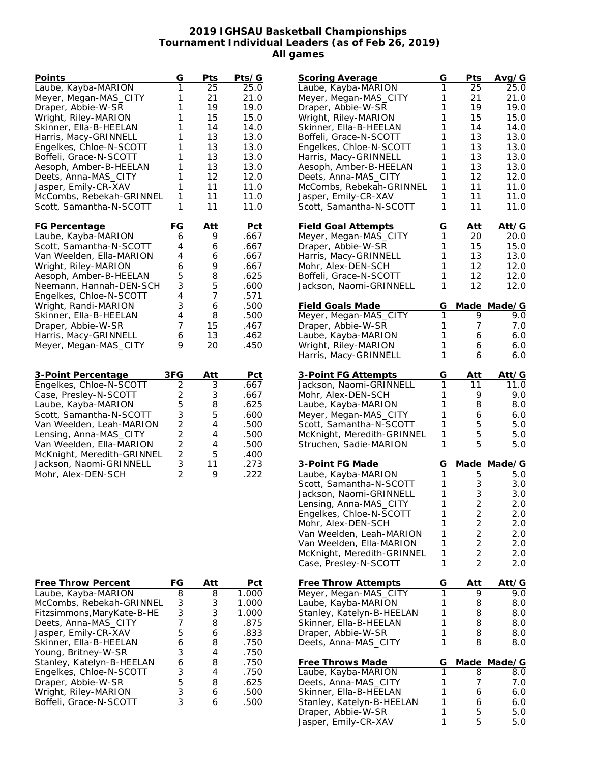## **2019 IGHSAU Basketball Championships Tournament Individual Leaders (as of Feb 26, 2019) All games**

| Points                     | G              | Pts        | Pts/G      |
|----------------------------|----------------|------------|------------|
| Laube, Kayba-MARION        | 1              | 25         | 25.0       |
| Meyer, Megan-MAS_CITY      | 1              | 21         | 21.0       |
| Draper, Abbie-W-SR         | 1              | 19         | 19.0       |
| Wright, Riley-MARION       | 1              | 15         | 15.0       |
| Skinner, Ella-B-HEELAN     | 1              | 14         | 14.0       |
| Harris, Macy-GRINNELL      | 1              | 13         | 13.0       |
| Engelkes, Chloe-N-SCOTT    | 1              | 13         | 13.0       |
| Boffeli, Grace-N-SCOTT     | 1              | 13         | 13.0       |
| Aesoph, Amber-B-HEELAN     | 1              | 13         | 13.0       |
| Deets, Anna-MAS_CITY       | 1              | 12         | 12.0       |
| Jasper, Emily-CR-XAV       | 1              | 11         | 11.0       |
| McCombs, Rebekah-GRINNEL   | 1              | 11         | 11.0       |
| Scott, Samantha-N-SCOTT    | 1              | 11         | 11.0       |
|                            |                |            |            |
| FG Percentage              | FG             | Att        | Pct        |
| Laube, Kayba-MARION        | 6              | 9          | .667       |
| Scott, Samantha-N-SCOTT    | 4              | 6          | .667       |
| Van Weelden, Ella-MARION   | 4              | 6          | .667       |
| Wright, Riley-MARION       | 6              | 9          | .667       |
| Aesoph, Amber-B-HEELAN     | 5              | 8          | .625       |
| Neemann, Hannah-DEN-SCH    | 3              | 5          | .600       |
| Engelkes, Chloe-N-SCOTT    | 4              | 7          | .571       |
| Wright, Randi-MARION       | 3              | 6          | .500       |
| Skinner, Ella-B-HEELAN     | 4              | 8          | .500       |
|                            | 7              |            |            |
| Draper, Abbie-W-SR         |                | 15         | .467       |
| Harris, Macy-GRINNELL      | 6              | 13         | .462       |
| Meyer, Megan-MAS_CITY      | 9              | 20         | .450       |
|                            |                |            |            |
| 3-Point Percentage         | 3FG            | <u>Att</u> | <u>Pct</u> |
| Engelkes, Chloe-N-SCOTT    | $\overline{2}$ | 3          | .667       |
| Case, Presley-N-SCOTT      |                | 3          | .667       |
| Laube, Kayba-MARION        | $\frac{2}{5}$  | 8          | .625       |
| Scott, Samantha-N-SCOTT    | 3              | 5          | .600       |
| Van Weelden, Leah-MARION   | $\overline{c}$ | 4          | .500       |
| Lensing, Anna-MAS_CITY     | $\overline{2}$ | 4          | .500       |
| Van Weelden, Ella-MARION   | $\overline{c}$ | 4          | .500       |
|                            | $\overline{c}$ | 5          | .400       |
| McKnight, Meredith-GRINNEL | 3              |            |            |
| Jackson, Naomi-GRINNELL    | $\overline{2}$ | 11         | .273       |
| Mohr, Alex-DEN-SCH         |                | 9          | .222       |
|                            |                |            |            |
|                            |                |            |            |
|                            |                |            |            |
|                            |                |            |            |
|                            |                |            |            |
|                            |                |            |            |
|                            |                |            |            |
|                            |                |            |            |
| Free Throw Percent         |                |            | FG Δtt Det |

| <b>Scoring Average</b>     | G | Pts                     | Avg/G        |
|----------------------------|---|-------------------------|--------------|
| Laube, Kayba-MARION        | 1 | $\overline{2}5$         | 25.0         |
| Meyer, Megan-MAS_CITY      | 1 | 21                      | 21.0         |
| Draper, Abbie-W-SR         | 1 | 19                      | 19.0         |
| Wright, Riley-MARION       | 1 | 15                      | 15.0         |
| Skinner, Ella-B-HEELAN     | 1 | 14                      | 14.0         |
| Boffeli, Grace-N-SCOTT     | 1 | 13                      | 13.0         |
| Engelkes, Chloe-N-SCOTT    | 1 | 13                      | 13.0         |
| Harris, Macy-GRINNELL      | 1 | 13                      | 13.0         |
| Aesoph, Amber-B-HEELAN     | 1 | 13                      | 13.0         |
| Deets, Anna-MAS_CITY       | 1 | 12                      | 12.0         |
| McCombs, Rebekah-GRINNEL   | 1 | 11                      | 11.0         |
| Jasper, Emily-CR-XAV       | 1 | 11                      | 11.0         |
| Scott, Samantha-N-SCOTT    | 1 | 11                      | 11.0         |
| <b>Field Goal Attempts</b> | G | Att                     | Att/G        |
| Meyer, Megan-MAS_CITY      | 1 | 20                      | 20.0         |
| Draper, Abbie-W-SR         | 1 | 15                      | 15.0         |
| Harris, Macy-GRINNELL      | 1 | 13                      | 13.0         |
| Mohr, Alex-DEN-SCH         | 1 | 12                      | 12.0         |
| Boffeli, Grace-N-SCOTT     | 1 | 12                      | 12.0         |
| Jackson, Naomi-GRINNELL    | 1 | 12                      | 12.0         |
|                            |   |                         |              |
| <b>Field Goals Made</b>    | G | Made                    | Made/G       |
| Meyer, Megan-MAS_CITY      | 1 | 9                       | 9.0          |
| Draper, Abbie-W-SR         | 1 | 7                       | 7.0          |
| Laube, Kayba-MARION        | 1 | 6                       | 6.0          |
| Wright, Riley-MARION       | 1 | 6                       | 6.0          |
| Harris, Macy-GRINNELL      | 1 | 6                       | 6.0          |
| 3-Point FG Attempts        | G | Att                     | <u>Att/G</u> |
| Jackson, Naomi-GRINNELL    | 1 | 11                      | 11.0         |
| Mohr, Alex-DEN-SCH         | 1 | 9                       | 9.0          |
| Laube, Kayba-MARION        | 1 | 8                       | 8.0          |
| Meyer, Megan-MAS_CITY      | 1 | 6                       | 6.0          |
| Scott, Samantha-N-SCOTT    | 1 | 5                       | 5.0          |
| McKnight, Meredith-GRINNEL | 1 | 5                       | 5.0          |
| Struchen, Sadie-MARION     | 1 | 5                       | 5.0          |
| 3-Point FG Made            | G | <u>Made</u>             | Made/G       |
| Laube, Kayba-MARION        | 1 | 5                       | 5.0          |
| Scott, Samantha-N-SCOTT    | 1 | 3                       | 3.0          |
| Jackson, Naomi-GRINNELL    | 1 | 3                       | 3.0          |
| Lensing, Anna-MAS_CITY     | 1 | $\overline{c}$          | 2.0          |
| Engelkes, Chloe-N-SCOTT    | 1 | $\overline{\mathbf{c}}$ | 2.0          |
| Mohr, Alex-DEN-SCH         | 1 | $\overline{\mathbf{c}}$ | 2.0          |
| Van Weelden, Leah-MARION   | 1 | $\overline{a}$          | 2.0          |
| Van Weelden, Ella-MARION   | 1 | $\overline{c}$          | 2.0          |
| McKnight, Meredith-GRINNEL | 1 | $\overline{c}$          | 2.0          |
| Case, Presley-N-SCOTT      | 1 | $\overline{2}$          | 2.0          |
|                            |   |                         |              |
| <b>Free Throw Attempts</b> | G | Att                     | Att/G        |
| Meyer, Megan-MAS_CITY      | 1 | 9                       | 9.0          |
| Laube, Kayba-MARION        | 1 | 8                       | 8.0          |
| Stanley, Katelyn-B-HEELAN  | 1 | 8                       | 8.0          |
| Skinner, Ella-B-HEELAN     | 1 | 8                       | 8.0          |
| Draper, Abbie-W-SR         | 1 | 8                       | 8.0          |
| Deets, Anna-MAS_CITY       | 1 | 8                       | 8.0          |
| <b>Free Throws Made</b>    | G | <u>Made</u>             | Made/G       |
| Laube, Kayba-MARION        | 1 | 8                       | 8.0          |
| Deets, Anna-MAS_CITY       | 1 | 7                       | 7.0          |
| Skinner, Ella-B-HEELAN     | 1 | 6                       | 6.0          |
| Stanley, Katelyn-B-HEELAN  | 1 | 6                       | 6.0          |
| Draper, Abbie-W-SR         | 1 | 5                       | 5.0          |
| Jasper, Emily-CR-XAV       | 1 | 5                       | 5.0          |
|                            |   |                         |              |

| Free Throw Percent          | FG | Att | Pct   |
|-----------------------------|----|-----|-------|
| Laube, Kayba-MARION         | 8  | 8   | 1.000 |
| McCombs, Rebekah-GRINNEL    | 3  | 3   | 1.000 |
| Fitzsimmons, Mary Kate-B-HE | 3  | 3   | 1.000 |
| Deets, Anna-MAS CITY        |    | 8   | .875  |
| Jasper, Emily-CR-XAV        | 5  | 6   | .833  |
| Skinner, Ella-B-HEELAN      | 6  | 8   | .750  |
| Young, Britney-W-SR         | 3  | 4   | .750  |
| Stanley, Katelyn-B-HEELAN   | 6  | 8   | .750  |
| Engelkes, Chloe-N-SCOTT     | 3  |     | .750  |
| Draper, Abbie-W-SR          | 5  | 8   | .625  |
| Wright, Riley-MARION        | 3  | 6   | .500  |
| Boffeli, Grace-N-SCOTT      | 3  |     | .500  |
|                             |    |     |       |